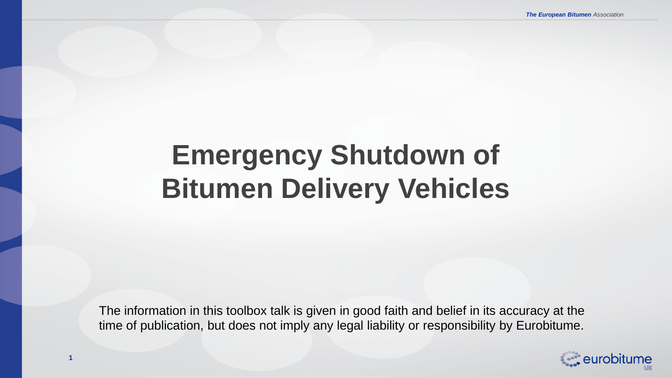# **Emergency Shutdown of Bitumen Delivery Vehicles**

The information in this toolbox talk is given in good faith and belief in its accuracy at the time of publication, but does not imply any legal liability or responsibility by Eurobitume.

**1**

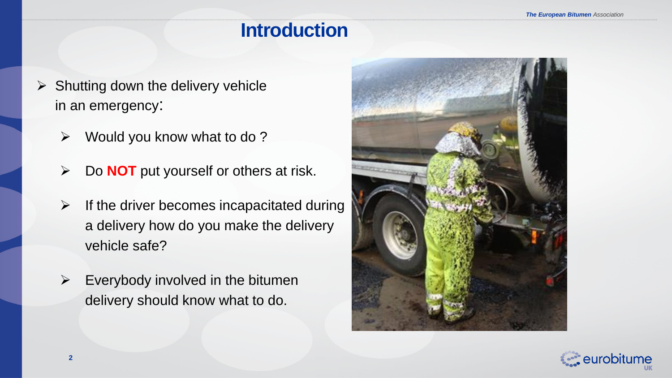### **Introduction**

- $\triangleright$  Shutting down the delivery vehicle in an emergency:
	- $\triangleright$  Would you know what to do ?
	- Do **NOT** put yourself or others at risk.
	- $\triangleright$  If the driver becomes incapacitated during a delivery how do you make the delivery vehicle safe?
	- $\triangleright$  Everybody involved in the bitumen delivery should know what to do.



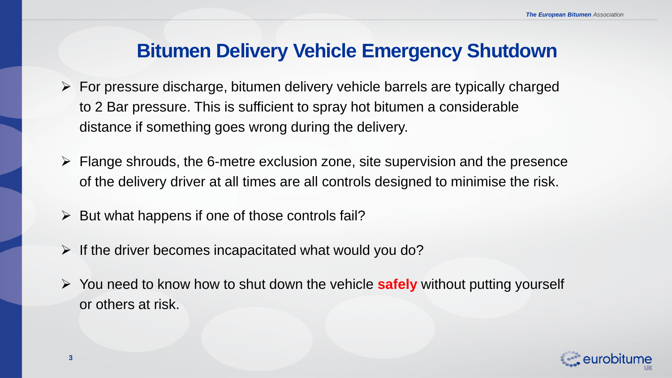#### **Bitumen Delivery Vehicle Emergency Shutdown**

- $\triangleright$  For pressure discharge, bitumen delivery vehicle barrels are typically charged to 2 Bar pressure. This is sufficient to spray hot bitumen a considerable distance if something goes wrong during the delivery.
- $\triangleright$  Flange shrouds, the 6-metre exclusion zone, site supervision and the presence of the delivery driver at all times are all controls designed to minimise the risk.
- $\triangleright$  But what happens if one of those controls fail?
- $\triangleright$  If the driver becomes incapacitated what would you do?
- You need to know how to shut down the vehicle **safely** without putting yourself or others at risk.

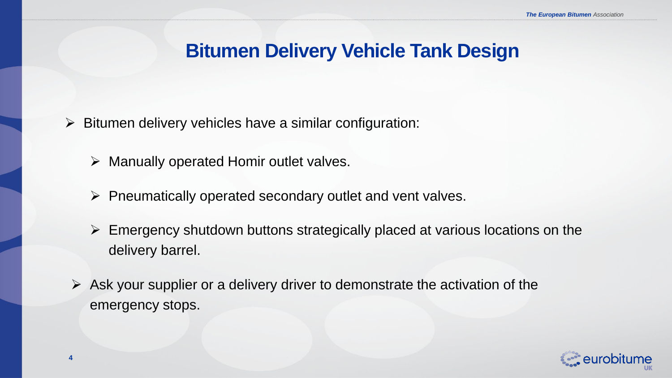#### **Bitumen Delivery Vehicle Tank Design**

- $\triangleright$  Bitumen delivery vehicles have a similar configuration:
	- $\triangleright$  Manually operated Homir outlet valves.
	- $\triangleright$  Pneumatically operated secondary outlet and vent valves.
	- $\triangleright$  Emergency shutdown buttons strategically placed at various locations on the delivery barrel.
	- $\triangleright$  Ask your supplier or a delivery driver to demonstrate the activation of the emergency stops.

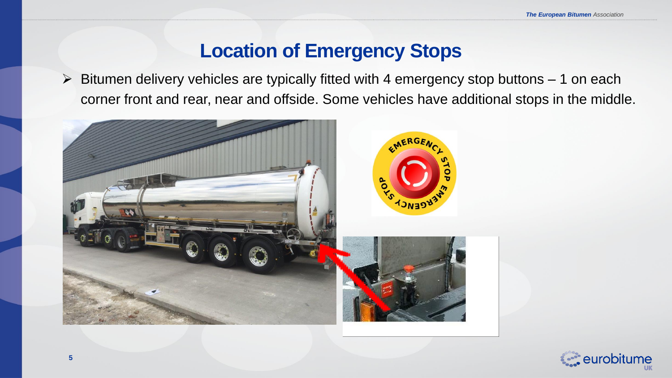#### **Location of Emergency Stops**

 $\triangleright$  Bitumen delivery vehicles are typically fitted with 4 emergency stop buttons  $-1$  on each corner front and rear, near and offside. Some vehicles have additional stops in the middle.



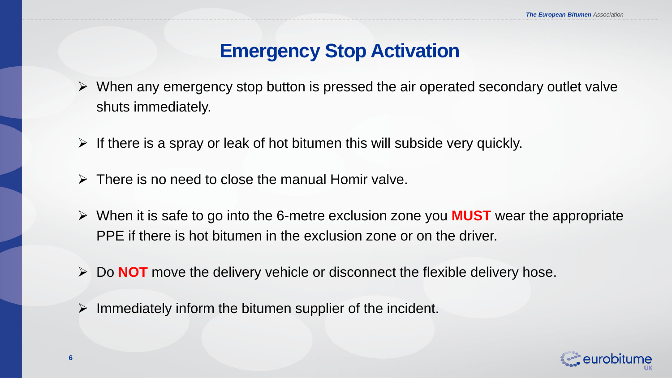#### **Emergency Stop Activation**

- $\triangleright$  When any emergency stop button is pressed the air operated secondary outlet valve shuts immediately.
- $\triangleright$  If there is a spray or leak of hot bitumen this will subside very quickly.
- $\triangleright$  There is no need to close the manual Homir valve.
- When it is safe to go into the 6-metre exclusion zone you **MUST** wear the appropriate PPE if there is hot bitumen in the exclusion zone or on the driver.
- Do **NOT** move the delivery vehicle or disconnect the flexible delivery hose.
- $\triangleright$  Immediately inform the bitumen supplier of the incident.

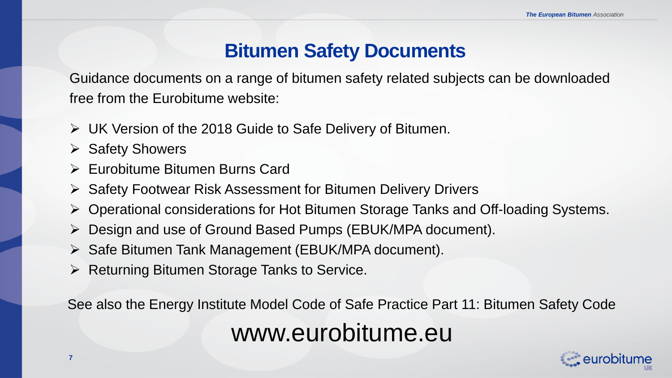#### **Bitumen Safety Documents**

Guidance documents on a range of bitumen safety related subjects can be downloaded free from the Eurobitume website:

- UK Version of the 2018 Guide to Safe Delivery of Bitumen.
- $\triangleright$  Safety Showers
- Eurobitume Bitumen Burns Card
- $\triangleright$  Safety Footwear Risk Assessment for Bitumen Delivery Drivers
- Operational considerations for Hot Bitumen Storage Tanks and Off-loading Systems.
- Design and use of Ground Based Pumps (EBUK/MPA document).
- $\triangleright$  Safe Bitumen Tank Management (EBUK/MPA document).
- $\triangleright$  Returning Bitumen Storage Tanks to Service.

See also the Energy Institute Model Code of Safe Practice Part 11: Bitumen Safety Code www.eurobitume.eu